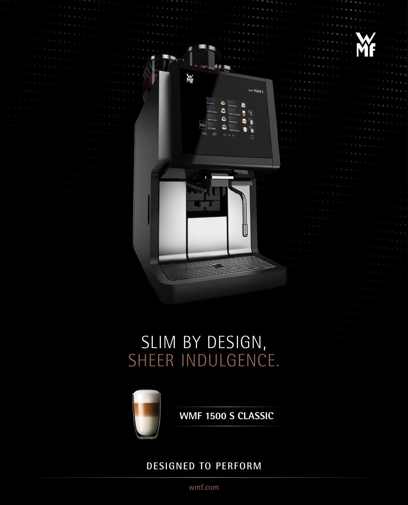





**WMF 1500 S CLASSIC**

**ALL** 

è

\$66

**WMF 1500 S** 

 $\ddot{\bullet}$  $\bullet$ 

**Wf** 

DESIGNED TO PERFORM

wmf.com